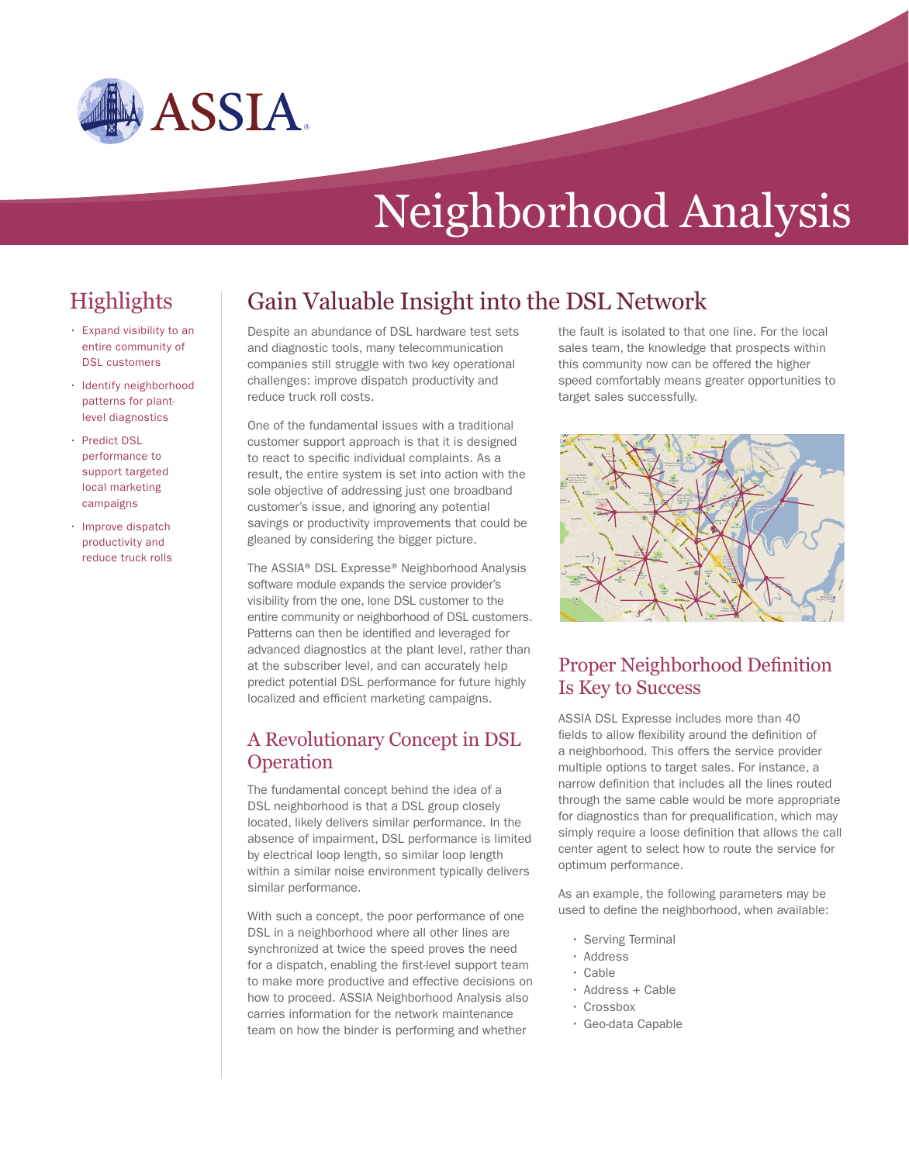

# Neighborhood Analysis

## Highlights

- • Expand visibility to an entire community of DSL customers
- Identify neighborhood patterns for plantlevel diagnostics
- • Predict DSL performance to support targeted local marketing campaigns
- Improve dispatch productivity and reduce truck rolls

## Gain Valuable Insight into the DSL Network

Despite an abundance of DSL hardware test sets and diagnostic tools, many telecommunication companies still struggle with two key operational challenges: improve dispatch productivity and reduce truck roll costs.

One of the fundamental issues with a traditional customer support approach is that it is designed to react to specific individual complaints. As a result, the entire system is set into action with the sole objective of addressing just one broadband customer's issue, and ignoring any potential savings or productivity improvements that could be gleaned by considering the bigger picture.

The ASSIA® DSL Expresse® Neighborhood Analysis software module expands the service provider's visibility from the one, lone DSL customer to the entire community or neighborhood of DSL customers. Patterns can then be identified and leveraged for advanced diagnostics at the plant level, rather than at the subscriber level, and can accurately help predict potential DSL performance for future highly localized and efficient marketing campaigns.

#### A Revolutionary Concept in DSL **Operation**

The fundamental concept behind the idea of a DSL neighborhood is that a DSL group closely located, likely delivers similar performance. In the absence of impairment, DSL performance is limited by electrical loop length, so similar loop length within a similar noise environment typically delivers similar performance.

With such a concept, the poor performance of one DSL in a neighborhood where all other lines are synchronized at twice the speed proves the need for a dispatch, enabling the first-level support team to make more productive and effective decisions on how to proceed. ASSIA Neighborhood Analysis also carries information for the network maintenance team on how the binder is performing and whether

the fault is isolated to that one line. For the local sales team, the knowledge that prospects within this community now can be offered the higher speed comfortably means greater opportunities to target sales successfully.



#### Proper Neighborhood Definition Is Key to Success

ASSIA DSL Expresse includes more than 40 fields to allow flexibility around the definition of a neighborhood. This offers the service provider multiple options to target sales. For instance, a narrow definition that includes all the lines routed through the same cable would be more appropriate for diagnostics than for prequalification, which may simply require a loose definition that allows the call center agent to select how to route the service for optimum performance.

As an example, the following parameters may be used to define the neighborhood, when available:

- Serving Terminal
- • Address
- • Cable
- Address + Cable
- • Crossbox
- • Geo-data Capable